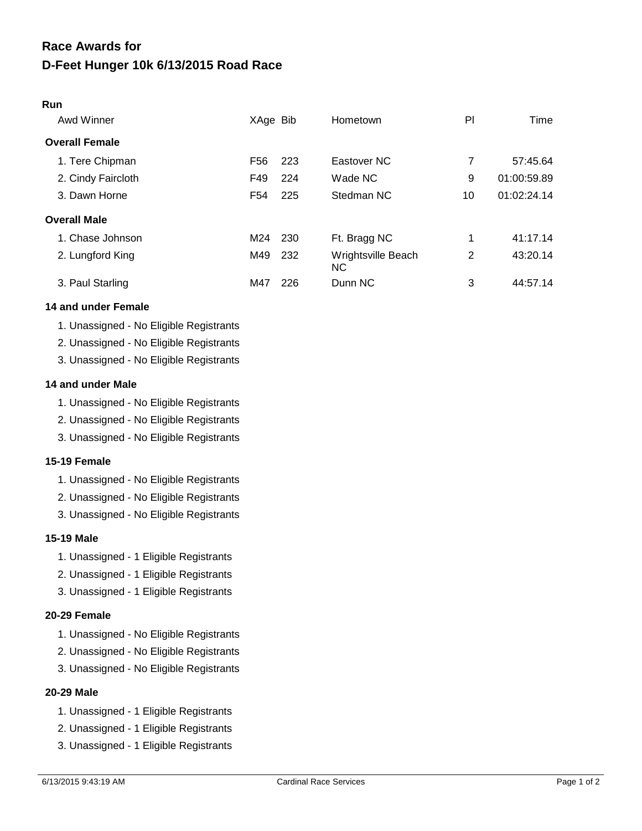#### **Run**

| Awd Winner            | XAge Bib        |     | Hometown                 | PI | Time        |
|-----------------------|-----------------|-----|--------------------------|----|-------------|
| <b>Overall Female</b> |                 |     |                          |    |             |
| 1. Tere Chipman       | F <sub>56</sub> | 223 | Eastover NC              | 7  | 57:45.64    |
| 2. Cindy Faircloth    | F49             | 224 | Wade NC                  | 9  | 01:00:59.89 |
| 3. Dawn Horne         | F54             | 225 | Stedman NC               | 10 | 01:02:24.14 |
| <b>Overall Male</b>   |                 |     |                          |    |             |
| 1. Chase Johnson      | M24             | 230 | Ft. Bragg NC             | 1  | 41:17.14    |
| 2. Lungford King      | M49             | 232 | Wrightsville Beach<br>NС | 2  | 43:20.14    |
| 3. Paul Starling      | M47             | 226 | Dunn NC                  | 3  | 44:57.14    |

### **14 and under Female**

- 1. Unassigned No Eligible Registrants
- 2. Unassigned No Eligible Registrants
- 3. Unassigned No Eligible Registrants

## **14 and under Male**

- 1. Unassigned No Eligible Registrants
- 2. Unassigned No Eligible Registrants
- 3. Unassigned No Eligible Registrants

## **15-19 Female**

- 1. Unassigned No Eligible Registrants
- 2. Unassigned No Eligible Registrants
- 3. Unassigned No Eligible Registrants

### **15-19 Male**

- 1. Unassigned 1 Eligible Registrants
- 2. Unassigned 1 Eligible Registrants
- 3. Unassigned 1 Eligible Registrants

## **20-29 Female**

- 1. Unassigned No Eligible Registrants
- 2. Unassigned No Eligible Registrants
- 3. Unassigned No Eligible Registrants

## **20-29 Male**

- 1. Unassigned 1 Eligible Registrants
- 2. Unassigned 1 Eligible Registrants
- 3. Unassigned 1 Eligible Registrants